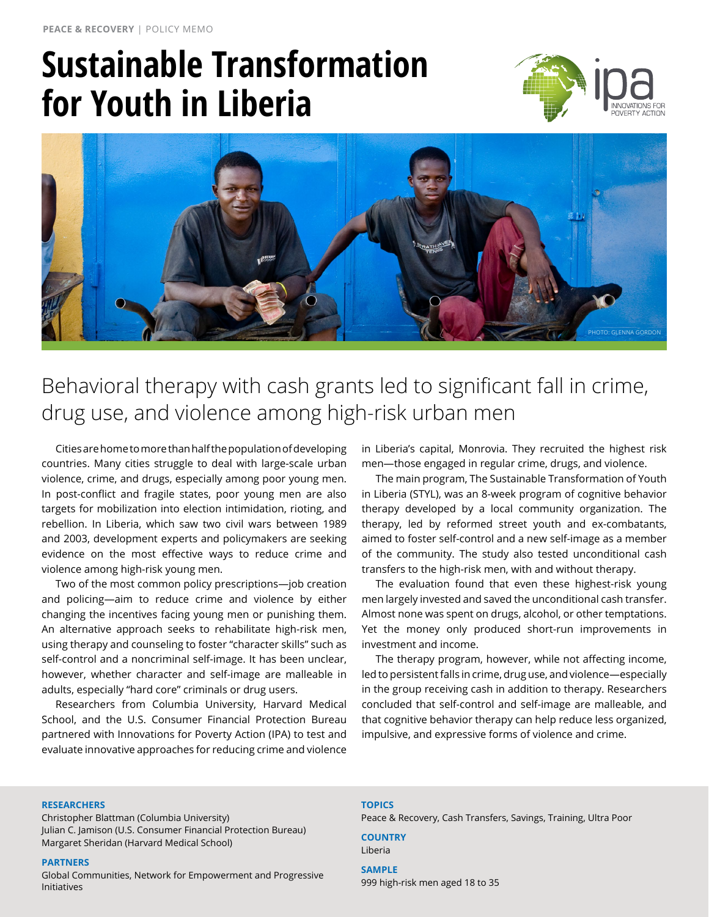# **Sustainable Transformation for Youth in Liberia**





Behavioral therapy with cash grants led to significant fall in crime, drug use, and violence among high-risk urban men

Cities are home to more than half the population of developing countries. Many cities struggle to deal with large-scale urban violence, crime, and drugs, especially among poor young men. In post-conflict and fragile states, poor young men are also targets for mobilization into election intimidation, rioting, and rebellion. In Liberia, which saw two civil wars between 1989 and 2003, development experts and policymakers are seeking evidence on the most effective ways to reduce crime and violence among high-risk young men.

Two of the most common policy prescriptions—job creation and policing—aim to reduce crime and violence by either changing the incentives facing young men or punishing them. An alternative approach seeks to rehabilitate high-risk men, using therapy and counseling to foster "character skills" such as self-control and a noncriminal self-image. It has been unclear, however, whether character and self-image are malleable in adults, especially "hard core" criminals or drug users.

Researchers from Columbia University, Harvard Medical School, and the U.S. Consumer Financial Protection Bureau partnered with Innovations for Poverty Action (IPA) to test and evaluate innovative approaches for reducing crime and violence in Liberia's capital, Monrovia. They recruited the highest risk men—those engaged in regular crime, drugs, and violence.

The main program, The Sustainable Transformation of Youth in Liberia (STYL), was an 8-week program of cognitive behavior therapy developed by a local community organization. The therapy, led by reformed street youth and ex-combatants, aimed to foster self-control and a new self-image as a member of the community. The study also tested unconditional cash transfers to the high-risk men, with and without therapy.

The evaluation found that even these highest-risk young men largely invested and saved the unconditional cash transfer. Almost none was spent on drugs, alcohol, or other temptations. Yet the money only produced short-run improvements in investment and income.

The therapy program, however, while not affecting income, led to persistent falls in crime, drug use, and violence—especially in the group receiving cash in addition to therapy. Researchers concluded that self-control and self-image are malleable, and that cognitive behavior therapy can help reduce less organized, impulsive, and expressive forms of violence and crime.

#### **Researchers**

Christopher Blattman (Columbia University) Julian C. Jamison (U.S. Consumer Financial Protection Bureau) Margaret Sheridan (Harvard Medical School)

#### **Partners**

Global Communities, Network for Empowerment and Progressive Initiatives

### **Topics**

Peace & Recovery, Cash Transfers, Savings, Training, Ultra Poor

**Country**

### Liberia **SAMPLE**

999 high-risk men aged 18 to 35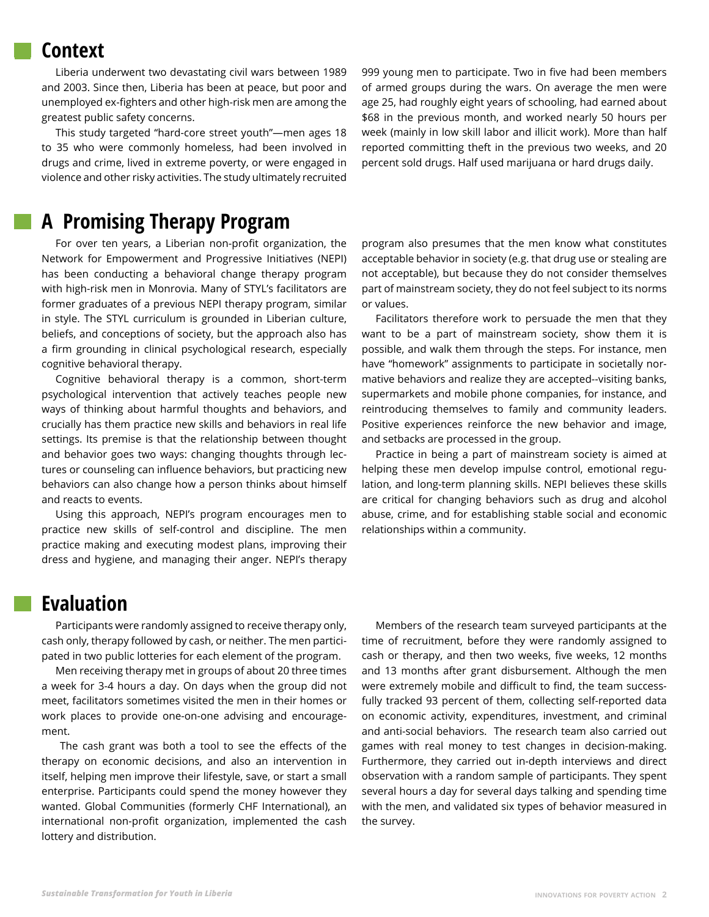### **Context**

Liberia underwent two devastating civil wars between 1989 and 2003. Since then, Liberia has been at peace, but poor and unemployed ex-fighters and other high-risk men are among the greatest public safety concerns.

This study targeted "hard-core street youth"—men ages 18 to 35 who were commonly homeless, had been involved in drugs and crime, lived in extreme poverty, or were engaged in violence and other risky activities. The study ultimately recruited

999 young men to participate. Two in five had been members of armed groups during the wars. On average the men were age 25, had roughly eight years of schooling, had earned about \$68 in the previous month, and worked nearly 50 hours per week (mainly in low skill labor and illicit work). More than half reported committing theft in the previous two weeks, and 20 percent sold drugs. Half used marijuana or hard drugs daily.

# **A Promising Therapy Program**

For over ten years, a Liberian non-profit organization, the Network for Empowerment and Progressive Initiatives (NEPI) has been conducting a behavioral change therapy program with high-risk men in Monrovia. Many of STYL's facilitators are former graduates of a previous NEPI therapy program, similar in style. The STYL curriculum is grounded in Liberian culture, beliefs, and conceptions of society, but the approach also has a firm grounding in clinical psychological research, especially cognitive behavioral therapy.

Cognitive behavioral therapy is a common, short-term psychological intervention that actively teaches people new ways of thinking about harmful thoughts and behaviors, and crucially has them practice new skills and behaviors in real life settings. Its premise is that the relationship between thought and behavior goes two ways: changing thoughts through lectures or counseling can influence behaviors, but practicing new behaviors can also change how a person thinks about himself and reacts to events.

Using this approach, NEPI's program encourages men to practice new skills of self-control and discipline. The men practice making and executing modest plans, improving their dress and hygiene, and managing their anger. NEPI's therapy program also presumes that the men know what constitutes acceptable behavior in society (e.g. that drug use or stealing are not acceptable), but because they do not consider themselves part of mainstream society, they do not feel subject to its norms or values.

Facilitators therefore work to persuade the men that they want to be a part of mainstream society, show them it is possible, and walk them through the steps. For instance, men have "homework" assignments to participate in societally normative behaviors and realize they are accepted--visiting banks, supermarkets and mobile phone companies, for instance, and reintroducing themselves to family and community leaders. Positive experiences reinforce the new behavior and image, and setbacks are processed in the group.

Practice in being a part of mainstream society is aimed at helping these men develop impulse control, emotional regulation, and long-term planning skills. NEPI believes these skills are critical for changing behaviors such as drug and alcohol abuse, crime, and for establishing stable social and economic relationships within a community.

### **Evaluation**

Participants were randomly assigned to receive therapy only, cash only, therapy followed by cash, or neither. The men participated in two public lotteries for each element of the program.

Men receiving therapy met in groups of about 20 three times a week for 3-4 hours a day. On days when the group did not meet, facilitators sometimes visited the men in their homes or work places to provide one-on-one advising and encouragement.

 The cash grant was both a tool to see the effects of the therapy on economic decisions, and also an intervention in itself, helping men improve their lifestyle, save, or start a small enterprise. Participants could spend the money however they wanted. Global Communities (formerly CHF International), an international non-profit organization, implemented the cash lottery and distribution.

Members of the research team surveyed participants at the time of recruitment, before they were randomly assigned to cash or therapy, and then two weeks, five weeks, 12 months and 13 months after grant disbursement. Although the men were extremely mobile and difficult to find, the team successfully tracked 93 percent of them, collecting self-reported data on economic activity, expenditures, investment, and criminal and anti-social behaviors. The research team also carried out games with real money to test changes in decision-making. Furthermore, they carried out in-depth interviews and direct observation with a random sample of participants. They spent several hours a day for several days talking and spending time with the men, and validated six types of behavior measured in the survey.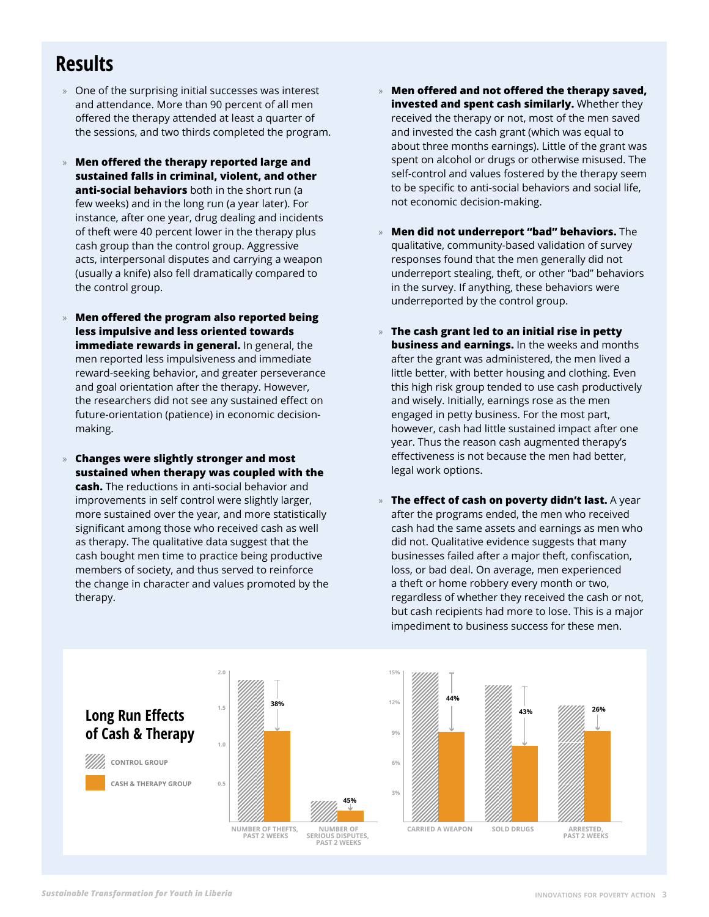# **Results**

- » One of the surprising initial successes was interest and attendance. More than 90 percent of all men offered the therapy attended at least a quarter of the sessions, and two thirds completed the program.
- » **Men offered the therapy reported large and sustained falls in criminal, violent, and other anti-social behaviors** both in the short run (a few weeks) and in the long run (a year later). For instance, after one year, drug dealing and incidents of theft were 40 percent lower in the therapy plus cash group than the control group. Aggressive acts, interpersonal disputes and carrying a weapon (usually a knife) also fell dramatically compared to the control group.
- » **Men offered the program also reported being less impulsive and less oriented towards immediate rewards in general.** In general, the men reported less impulsiveness and immediate reward-seeking behavior, and greater perseverance and goal orientation after the therapy. However, the researchers did not see any sustained effect on future-orientation (patience) in economic decisionmaking.
- » **Changes were slightly stronger and most sustained when therapy was coupled with the cash.** The reductions in anti-social behavior and improvements in self control were slightly larger, more sustained over the year, and more statistically significant among those who received cash as well as therapy. The qualitative data suggest that the cash bought men time to practice being productive members of society, and thus served to reinforce the change in character and values promoted by the therapy.
- » **Men offered and not offered the therapy saved, invested and spent cash similarly.** Whether they received the therapy or not, most of the men saved and invested the cash grant (which was equal to about three months earnings). Little of the grant was spent on alcohol or drugs or otherwise misused. The self-control and values fostered by the therapy seem to be specific to anti-social behaviors and social life, not economic decision-making.
- » **Men did not underreport "bad" behaviors.** The qualitative, community-based validation of survey responses found that the men generally did not underreport stealing, theft, or other "bad" behaviors in the survey. If anything, these behaviors were underreported by the control group.
- » **The cash grant led to an initial rise in petty business and earnings.** In the weeks and months after the grant was administered, the men lived a little better, with better housing and clothing. Even this high risk group tended to use cash productively and wisely. Initially, earnings rose as the men engaged in petty business. For the most part, however, cash had little sustained impact after one year. Thus the reason cash augmented therapy's effectiveness is not because the men had better, legal work options.
- » **The effect of cash on poverty didn't last.** A year after the programs ended, the men who received cash had the same assets and earnings as men who did not. Qualitative evidence suggests that many businesses failed after a major theft, confiscation, loss, or bad deal. On average, men experienced a theft or home robbery every month or two, regardless of whether they received the cash or not, but cash recipients had more to lose. This is a major impediment to business success for these men.